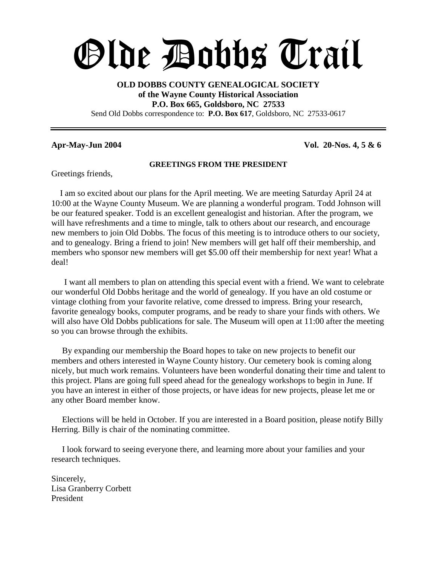# Olde Dobbs Trail

#### **OLD DOBBS COUNTY GENEALOGICAL SOCIETY of the Wayne County Historical Association P.O. Box 665, Goldsboro, NC 27533** Send Old Dobbs correspondence to: **P.O. Box 617**, Goldsboro, NC 27533-0617

**Apr-May-Jun 2004 Vol. 20-Nos. 4, 5 & 6**

#### **GREETINGS FROM THE PRESIDENT**

Greetings friends,

I am so excited about our plans for the April meeting. We are meeting Saturday April 24 at 10:00 at the Wayne County Museum. We are planning a wonderful program. Todd Johnson will be our featured speaker. Todd is an excellent genealogist and historian. After the program, we will have refreshments and a time to mingle, talk to others about our research, and encourage new members to join Old Dobbs. The focus of this meeting is to introduce others to our society, and to genealogy. Bring a friend to join! New members will get half off their membership, and members who sponsor new members will get \$5.00 off their membership for next year! What a deal!

I want all members to plan on attending this special event with a friend. We want to celebrate our wonderful Old Dobbs heritage and the world of genealogy. If you have an old costume or vintage clothing from your favorite relative, come dressed to impress. Bring your research, favorite genealogy books, computer programs, and be ready to share your finds with others. We will also have Old Dobbs publications for sale. The Museum will open at 11:00 after the meeting so you can browse through the exhibits.

By expanding our membership the Board hopes to take on new projects to benefit our members and others interested in Wayne County history. Our cemetery book is coming along nicely, but much work remains. Volunteers have been wonderful donating their time and talent to this project. Plans are going full speed ahead for the genealogy workshops to begin in June. If you have an interest in either of those projects, or have ideas for new projects, please let me or any other Board member know.

Elections will be held in October. If you are interested in a Board position, please notify Billy Herring. Billy is chair of the nominating committee.

I look forward to seeing everyone there, and learning more about your families and your research techniques.

Sincerely, Lisa Granberry Corbett President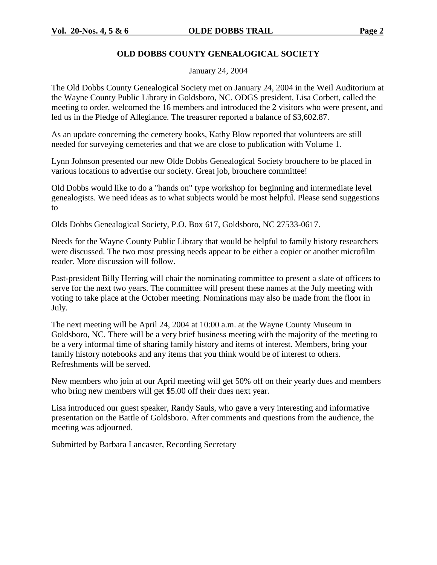#### **OLD DOBBS COUNTY GENEALOGICAL SOCIETY**

January 24, 2004

The Old Dobbs County Genealogical Society met on January 24, 2004 in the Weil Auditorium at the Wayne County Public Library in Goldsboro, NC. ODGS president, Lisa Corbett, called the meeting to order, welcomed the 16 members and introduced the 2 visitors who were present, and led us in the Pledge of Allegiance. The treasurer reported a balance of \$3,602.87.

As an update concerning the cemetery books, Kathy Blow reported that volunteers are still needed for surveying cemeteries and that we are close to publication with Volume 1.

Lynn Johnson presented our new Olde Dobbs Genealogical Society brouchere to be placed in various locations to advertise our society. Great job, brouchere committee!

Old Dobbs would like to do a "hands on" type workshop for beginning and intermediate level genealogists. We need ideas as to what subjects would be most helpful. Please send suggestions to

Olds Dobbs Genealogical Society, P.O. Box 617, Goldsboro, NC 27533-0617.

Needs for the Wayne County Public Library that would be helpful to family history researchers were discussed. The two most pressing needs appear to be either a copier or another microfilm reader. More discussion will follow.

Past-president Billy Herring will chair the nominating committee to present a slate of officers to serve for the next two years. The committee will present these names at the July meeting with voting to take place at the October meeting. Nominations may also be made from the floor in July.

The next meeting will be April 24, 2004 at 10:00 a.m. at the Wayne County Museum in Goldsboro, NC. There will be a very brief business meeting with the majority of the meeting to be a very informal time of sharing family history and items of interest. Members, bring your family history notebooks and any items that you think would be of interest to others. Refreshments will be served.

New members who join at our April meeting will get 50% off on their yearly dues and members who bring new members will get \$5.00 off their dues next year.

Lisa introduced our guest speaker, Randy Sauls, who gave a very interesting and informative presentation on the Battle of Goldsboro. After comments and questions from the audience, the meeting was adjourned.

Submitted by Barbara Lancaster, Recording Secretary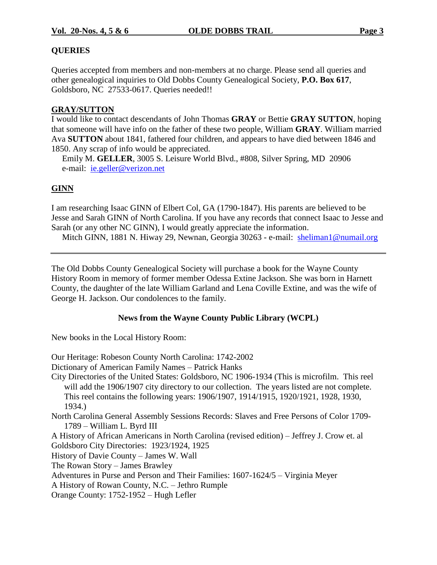#### **QUERIES**

Queries accepted from members and non-members at no charge. Please send all queries and other genealogical inquiries to Old Dobbs County Genealogical Society, **P.O. Box 617**, Goldsboro, NC 27533-0617. Queries needed!!

#### **GRAY/SUTTON**

I would like to contact descendants of John Thomas **GRAY** or Bettie **GRAY SUTTON**, hoping that someone will have info on the father of these two people, William **GRAY**. William married Ava **SUTTON** about 1841, fathered four children, and appears to have died between 1846 and 1850. Any scrap of info would be appreciated.

Emily M. **GELLER**, 3005 S. Leisure World Blvd., #808, Silver Spring, MD 20906 e-mail: ie.geller@verizon.net

#### **GINN**

I am researching Isaac GINN of Elbert Col, GA (1790-1847). His parents are believed to be Jesse and Sarah GINN of North Carolina. If you have any records that connect Isaac to Jesse and Sarah (or any other NC GINN), I would greatly appreciate the information.

Mitch GINN, 1881 N. Hiway 29, Newnan, Georgia 30263 - e-mail: sheliman1@numail.org

The Old Dobbs County Genealogical Society will purchase a book for the Wayne County History Room in memory of former member Odessa Extine Jackson. She was born in Harnett County, the daughter of the late William Garland and Lena Coville Extine, and was the wife of George H. Jackson. Our condolences to the family.

#### **News from the Wayne County Public Library (WCPL)**

New books in the Local History Room:

Our Heritage: Robeson County North Carolina: 1742-2002 Dictionary of American Family Names - Patrick Hanks City Directories of the United States: Goldsboro, NC 1906-1934 (This is microfilm. This reel will add the 1906/1907 city directory to our collection. The years listed are not complete. This reel contains the following years: 1906/1907, 1914/1915, 1920/1921, 1928, 1930, 1934.) North Carolina General Assembly Sessions Records: Slaves and Free Persons of Color 1709- 1789 –William L. Byrd III A History of African Americans in North Carolina (revised edition) – Jeffrey J. Crow et. al Goldsboro City Directories: 1923/1924, 1925 History of Davie County –James W. Wall The Rowan Story –James Brawley Adventures in Purse and Person and Their Families: 1607-1624/5 – Virginia Meyer A History of Rowan County, N.C. –Jethro Rumple Orange County: 1752-1952 – Hugh Lefler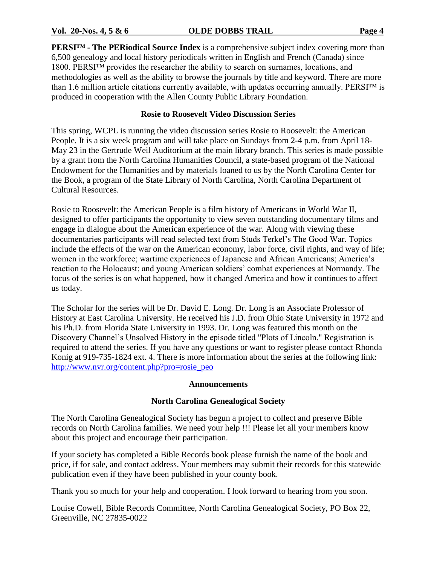**PERSI™ - The PERiodical Source Index** is a comprehensive subject index covering more than 6,500 genealogy and local history periodicals written in English and French (Canada) since  $1800$ . PERSI<sup>TM</sup> provides the researcher the ability to search on surnames, locations, and methodologies as well as the ability to browse the journals by title and keyword. There are more than 1.6 million article citations currently available, with updates occurring annually. PERSI<sup>TM</sup> is produced in cooperation with the Allen County Public Library Foundation.

#### **Rosie to Roosevelt Video Discussion Series**

This spring, WCPL is running the video discussion series Rosie to Roosevelt: the American People. It is a six week program and will take place on Sundays from 2-4 p.m. from April 18- May 23 in the Gertrude Weil Auditorium at the main library branch. This series is made possible by a grant from the North Carolina Humanities Council, a state-based program of the National Endowment for the Humanities and by materials loaned to us by the North Carolina Center for the Book, a program of the State Library of North Carolina, North Carolina Department of Cultural Resources.

Rosie to Roosevelt: the American People is a film history of Americans in World War II, designed to offer participants the opportunity to view seven outstanding documentary films and engage in dialogue about the American experience of the war. Along with viewing these documentaries participants will read selected text from Studs Terkel's The Good War. Topics include the effects of the war on the American economy, labor force, civil rights, and way of life; women in the workforce; wartime experiences of Japanese and African Americans; America's reaction to the Holocaust; and young American soldiers' combat experiences at Normandy. The focus of the series is on what happened, how it changed America and how it continues to affect us today.

The Scholar for the series will be Dr. David E. Long. Dr. Long is an Associate Professor of History at East Carolina University. He received his J.D. from Ohio State University in 1972 and his Ph.D. from Florida State University in 1993. Dr. Long was featured this month on the Discovery Channel's Unsolved History in the episode titled "Plots of Lincoln." Registration is required to attend the series. If you have any questions or want to register please contact Rhonda Konig at 919-735-1824 ext. 4. There is more information about the series at the following link: http://www.nvr.org/content.php?pro=rosie\_peo

#### **Announcements**

#### **North Carolina Genealogical Society**

The North Carolina Genealogical Society has begun a project to collect and preserve Bible records on North Carolina families. We need your help !!! Please let all your members know about this project and encourage their participation.

If your society has completed a Bible Records book please furnish the name of the book and price, if for sale, and contact address. Your members may submit their records for this statewide publication even if they have been published in your county book.

Thank you so much for your help and cooperation. I look forward to hearing from you soon.

Louise Cowell, Bible Records Committee, North Carolina Genealogical Society, PO Box 22, Greenville, NC 27835-0022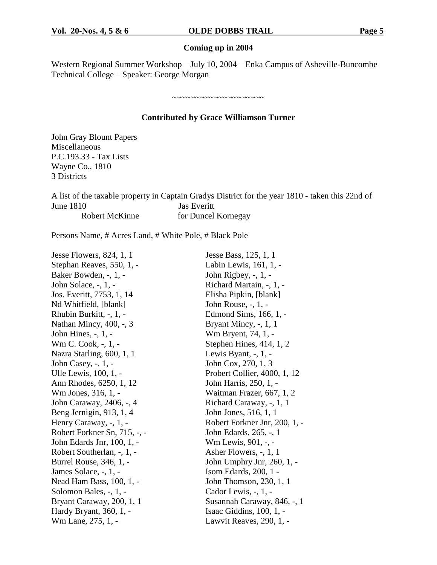#### **Coming up in 2004**

Western Regional Summer Workshop – July 10, 2004 – Enka Campus of Asheville-Buncombe Technical College –Speaker: George Morgan

#### **Contributed by Grace Williamson Turner**

~~~~~~~~~~~~~~~~~~~~

John Gray Blount Papers Miscellaneous P.C.193.33 - Tax Lists Wayne Co., 1810 3 Districts

A list of the taxable property in Captain Gradys District for the year 1810 - taken this 22nd of June 1810 Jas Everitt Robert McKinne for Duncel Kornegay

Persons Name, # Acres Land, # White Pole, # Black Pole

| Jesse Flowers, 824, 1, 1     | Jesse Bass, 125, 1, 1         |
|------------------------------|-------------------------------|
| Stephan Reaves, 550, 1, -    | Labin Lewis, 161, 1, -        |
| Baker Bowden, -, 1, -        | John Rigbey, -, 1, -          |
| John Solace, -, 1, -         | Richard Martain, -, 1, -      |
| Jos. Everitt, 7753, 1, 14    | Elisha Pipkin, [blank]        |
| Nd Whitfield, [blank]        | John Rouse, -, 1, -           |
| Rhubin Burkitt, -, 1, -      | Edmond Sims, 166, 1, -        |
| Nathan Mincy, 400, -, 3      | Bryant Mincy, $-$ , 1, 1      |
| John Hines, -, 1, -          | Wm Bryent, 74, 1, -           |
| Wm C. Cook, -, 1, -          | Stephen Hines, $414, 1, 2$    |
| Nazra Starling, 600, 1, 1    | Lewis Byant, $-$ , $1$ , $-$  |
| John Casey, $-$ , $1$ , $-$  | John Cox, 270, 1, 3           |
| Ulle Lewis, 100, 1, -        | Probert Collier, 4000, 1, 12  |
| Ann Rhodes, 6250, 1, 12      | John Harris, 250, 1, -        |
| Wm Jones, 316, 1, -          | Waitman Frazer, 667, 1, 2     |
| John Caraway, 2406, -, 4     | Richard Caraway, -, 1, 1      |
| Beng Jernigin, 913, 1, 4     | John Jones, 516, 1, 1         |
| Henry Caraway, -, 1, -       | Robert Forkner Jnr, 200, 1, - |
| Robert Forkner Sn, 715, -, - | John Edards, 265, -, 1        |
| John Edards Jnr, 100, 1, -   | Wm Lewis, 901, -, -           |
| Robert Southerlan, -, 1, -   | Asher Flowers, -, 1, 1        |
| Burrel Rouse, 346, 1, -      | John Umphry Jnr, 260, 1, -    |
| James Solace, -, 1, -        | Isom Edards, 200, 1 -         |
| Nead Ham Bass, 100, 1, -     | John Thomson, 230, 1, 1       |
| Solomon Bales, -, 1, -       | Cador Lewis, -, 1, -          |
| Bryant Caraway, 200, 1, 1    | Susannah Caraway, 846, -, 1   |
| Hardy Bryant, 360, 1, -      | Isaac Giddins, 100, 1, -      |
| Wm Lane, 275, 1, -           | Lawvit Reaves, 290, 1, -      |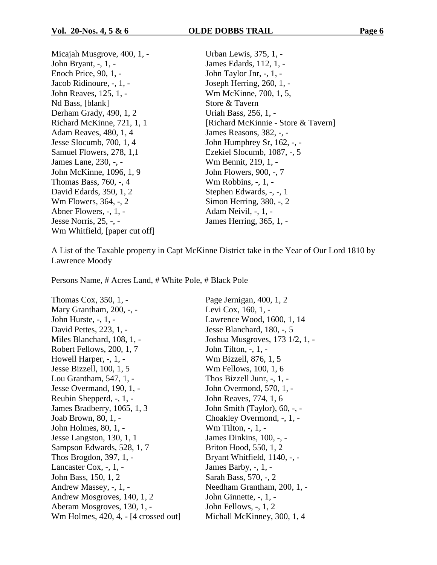| Micajah Musgrove, 400, 1, -   | Urban Lewis, 375, 1, -              |
|-------------------------------|-------------------------------------|
| John Bryant, -, 1, -          | James Edards, 112, 1, -             |
| Enoch Price, 90, 1, -         | John Taylor Jnr, -, 1, -            |
| Jacob Ridinoure, -, 1, -      | Joseph Herring, 260, 1, -           |
| John Reaves, 125, 1, -        | Wm McKinne, 700, 1, 5,              |
| Nd Bass, [blank]              | Store & Tavern                      |
| Derham Grady, 490, 1, 2       | Uriah Bass, 256, 1, -               |
| Richard McKinne, 721, 1, 1    | [Richard McKinnie - Store & Tavern] |
| Adam Reaves, 480, 1, 4        | James Reasons, 382, -, -            |
| Jesse Slocumb, 700, 1, 4      | John Humphrey Sr, $162, -$ , $-$    |
| Samuel Flowers, 278, 1,1      | Ezekiel Slocumb, 1087, -, 5         |
| James Lane, 230, -, -         | Wm Bennit, 219, 1, -                |
| John McKinne, 1096, 1, 9      | John Flowers, 900, -, 7             |
| Thomas Bass, 760, -, 4        | Wm Robbins, $-$ , $1$ , $-$         |
| David Edards, 350, 1, 2       | Stephen Edwards, -, -, 1            |
| Wm Flowers, 364, -, 2         | Simon Herring, 380, -, 2            |
| Abner Flowers, -, 1, -        | Adam Neivil, -, 1, -                |
| Jesse Norris, 25, -, -        | James Herring, 365, 1, -            |
| Wm Whitfield, [paper cut off] |                                     |
|                               |                                     |

A List of the Taxable property in Capt McKinne District take in the Year of Our Lord 1810 by Lawrence Moody

Persons Name, # Acres Land, # White Pole, # Black Pole

Thomas Cox, 350, 1, - Page Jernigan, 400, 1, 2 Mary Grantham, 200, -, - Levi Cox, 160, 1, -John Hurste, -, 1, - Lawrence Wood, 1600, 1, 14 David Pettes, 223, 1, - Jesse Blanchard, 180, -, 5 Miles Blanchard, 108, 1, - Joshua Musgroves, 173 1/2, 1, -Robert Fellows, 200, 1, 7 John Tilton, -, 1, -Howell Harper, -, 1, - Wm Bizzell, 876, 1, 5 Jesse Bizzell, 100, 1, 5 Wm Fellows, 100, 1, 6 Lou Grantham, 547, 1, - Thos Bizzell Junr, -, 1, -Jesse Overmand, 190, 1, - John Overmond, 570, 1, - Reubin Shepperd, -, 1, - John Reaves, 774, 1, 6 James Bradberry, 1065, 1, 3 John Smith (Taylor), 60, -, - Joab Brown, 80, 1, - Choakley Overmond, -, 1, -John Holmes, 80, 1, - Wm Tilton, -, 1, - Jesse Langston, 130, 1, 1 James Dinkins, 100, -, -Sampson Edwards, 528, 1, 7 Briton Hood, 550, 1, 2 Thos Brogdon, 397, 1, - Bryant Whitfield, 1140, -, -Lancaster Cox,  $-$ ,  $1$ ,  $-$  James Barby,  $-$ ,  $1$ ,  $-$ John Bass, 150, 1, 2 Sarah Bass, 570, -, 2 Andrew Massey, -, 1, - Needham Grantham, 200, 1, -Andrew Mosgroves, 140, 1, 2 John Ginnette, -, 1, -Aberam Mosgroves, 130, 1, - John Fellows, -, 1, 2 Wm Holmes, 420, 4, - [4 crossed out] Michall McKinney, 300, 1, 4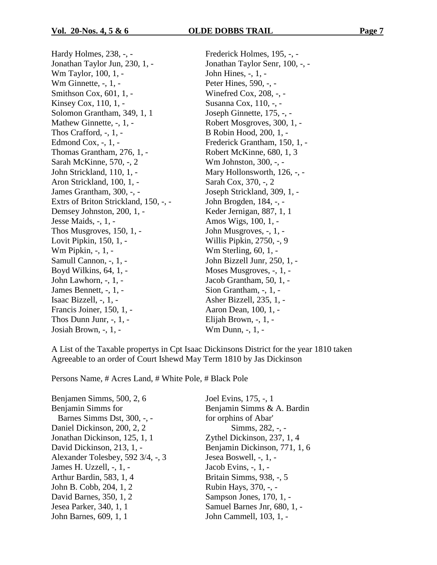Hardy Holmes, 238, -, - Frederick Holmes, 195, -, - Jonathan Taylor Jun, 230, 1, - Jonathan Taylor Senr, 100, -, -Wm Taylor, 100, 1, - John Hines, -, 1, -Wm Ginnette, -, 1, - Peter Hines, 590, -, -Smithson Cox, 601, 1, - Winefred Cox, 208, -, -Kinsey Cox, 110, 1, - Susanna Cox, 110, -, -Solomon Grantham, 349, 1, 1 Joseph Ginnette, 175, -, -Mathew Ginnette, -, 1, - Robert Mosgroves, 300, 1, -Thos Crafford, -, 1, - B Robin Hood, 200, 1, - Edmond Cox, -, 1, - Frederick Grantham, 150, 1, -Thomas Grantham, 276, 1, - Robert McKinne, 680, 1, 3 Sarah McKinne, 570, -, 2 Wm Johnston, 300, -, -John Strickland, 110, 1, - Mary Hollonsworth, 126, -, - Aron Strickland, 100, 1, - Sarah Cox, 370, -, 2 James Grantham, 300, -, - Joseph Strickland, 309, 1, -Extrs of Briton Strickland, 150, -, - John Brogden, 184, -, -Demsey Johnston, 200, 1, - Keder Jernigan, 887, 1, 1 Jesse Maids, -, 1, - Amos Wigs, 100, 1, - Thos Musgroves,  $150, 1, -$  John Musgroves,  $-1, -$ Lovit Pipkin, 150, 1, - Willis Pipkin, 2750, -, 9 Wm Pipkin, -, 1, - Wm Sterling, 60, 1, -Samull Cannon, -, 1, - John Bizzell Junr, 250, 1, -Boyd Wilkins, 64, 1, - Moses Musgroves, -, 1, -John Lawhorn, -, 1, - Jacob Grantham, 50, 1, - James Bennett, -, 1, - Sion Grantham, -, 1, - Isaac Bizzell, -, 1, - Asher Bizzell, 235, 1, - Francis Joiner, 150, 1, - Aaron Dean, 100, 1, -Thos Dunn Junr, -, 1, - Elijah Brown, -, 1, - Josiah Brown, -, 1, - Wm Dunn, -, 1, -

A List of the Taxable propertys in Cpt Isaac Dickinsons District for the year 1810 taken Agreeable to an order of Court Ishewd May Term 1810 by Jas Dickinson

Persons Name, # Acres Land, # White Pole, # Black Pole

Benjamen Simms, 500, 2, 6 Joel Evins, 175, -, 1 Benjamin Simms for Benjamin Simms & A. Bardin Barnes Simms Dst, 300, -, - for orphins of Abar' Daniel Dickinson, 200, 2, 2 Simms, 282, -, -Jonathan Dickinson, 125, 1, 1 Zythel Dickinson, 237, 1, 4 David Dickinson, 213, 1, - Benjamin Dickinson, 771, 1, 6 Alexander Tolesbey, 592 3/4, -, 3 Jesea Boswell, -, 1, - James H. Uzzell, -, 1, - Jacob Evins, -, 1, - Arthur Bardin, 583, 1, 4 Britain Simms, 938, -, 5 John B. Cobb, 204, 1, 2 Rubin Hays, 370, -, -David Barnes, 350, 1, 2 Sampson Jones, 170, 1, -Jesea Parker, 340, 1, 1 Samuel Barnes Jnr, 680, 1, - John Barnes, 609, 1, 1 John Cammell, 103, 1, -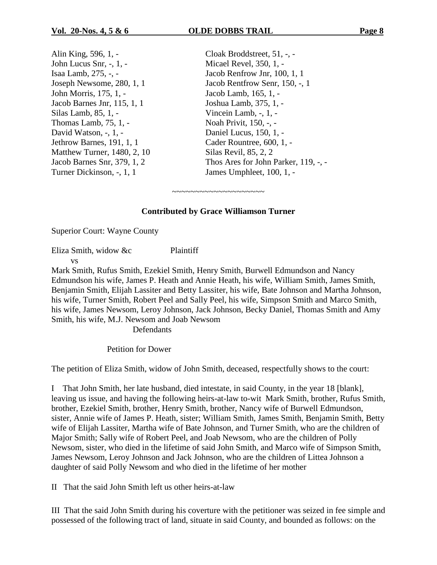Alin King, 596, 1, - Cloak Broddstreet, 51, -, -John Lucus Snr, -, 1, - Micael Revel, 350, 1, - Isaa Lamb, 275, -, - Jacob Renfrow Jnr, 100, 1, 1 John Morris, 175, 1, - Jacob Lamb, 165, 1, - Jacob Barnes Jnr, 115, 1, 1 Joshua Lamb, 375, 1, -Silas Lamb, 85, 1, - Vincein Lamb, -, 1, -Thomas Lamb, 75, 1, - Noah Privit, 150, -, -David Watson, -, 1, - Daniel Lucus, 150, 1, -Jethrow Barnes, 191, 1, 1 Cader Rountree, 600, 1, -Matthew Turner, 1480, 2, 10 Silas Revil, 85, 2, 2 Turner Dickinson, -, 1, 1 James Umphleet, 100, 1, -

Joseph Newsome, 280, 1, 1 Jacob Rentfrow Senr, 150, -, 1 Jacob Barnes Snr, 379, 1, 2 Thos Ares for John Parker, 119, -, -

#### **Contributed by Grace Williamson Turner**

~~~~~~~~~~~~~~~~~~~~

Superior Court: Wayne County

Eliza Smith, widow &c Plaintiff vs

Mark Smith, Rufus Smith, Ezekiel Smith, Henry Smith, Burwell Edmundson and Nancy Edmundson his wife, James P. Heath and Annie Heath, his wife, William Smith, James Smith, Benjamin Smith, Elijah Lassiter and Betty Lassiter, his wife, Bate Johnson and Martha Johnson, his wife, Turner Smith, Robert Peel and Sally Peel, his wife, Simpson Smith and Marco Smith, his wife, James Newsom, Leroy Johnson, Jack Johnson, Becky Daniel, Thomas Smith and Amy Smith, his wife, M.J. Newsom and Joab Newsom

**Defendants** 

Petition for Dower

The petition of Eliza Smith, widow of John Smith, deceased, respectfully shows to the court:

I That John Smith, her late husband, died intestate, in said County, in the year 18 [blank], leaving us issue, and having the following heirs-at-law to-wit Mark Smith, brother, Rufus Smith, brother, Ezekiel Smith, brother, Henry Smith, brother, Nancy wife of Burwell Edmundson, sister, Annie wife of James P. Heath, sister; William Smith, James Smith, Benjamin Smith, Betty wife of Elijah Lassiter, Martha wife of Bate Johnson, and Turner Smith, who are the children of Major Smith; Sally wife of Robert Peel, and Joab Newsom, who are the children of Polly Newsom, sister, who died in the lifetime of said John Smith, and Marco wife of Simpson Smith, James Newsom, Leroy Johnson and Jack Johnson, who are the children of Littea Johnson a daughter of said Polly Newsom and who died in the lifetime of her mother

II That the said John Smith left us other heirs-at-law

III That the said John Smith during his coverture with the petitioner was seized in fee simple and possessed of the following tract of land, situate in said County, and bounded as follows: on the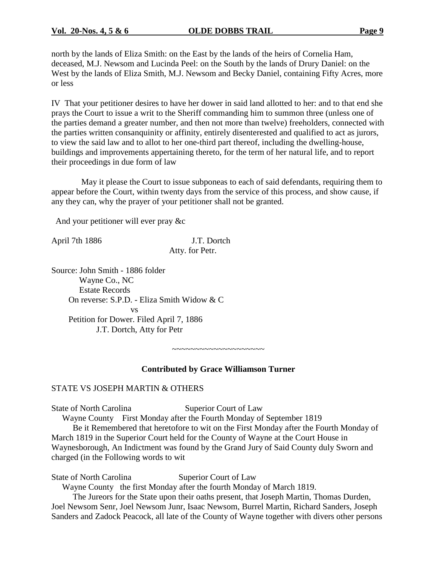north by the lands of Eliza Smith: on the East by the lands of the heirs of Cornelia Ham, deceased, M.J. Newsom and Lucinda Peel: on the South by the lands of Drury Daniel: on the West by the lands of Eliza Smith, M.J. Newsom and Becky Daniel, containing Fifty Acres, more or less

IV That your petitioner desires to have her dower in said land allotted to her: and to that end she prays the Court to issue a writ to the Sheriff commanding him to summon three (unless one of the parties demand a greater number, and then not more than twelve) freeholders, connected with the parties written consanquinity or affinity, entirely disenterested and qualified to act as jurors, to view the said law and to allot to her one-third part thereof, including the dwelling-house, buildings and improvements appertaining thereto, for the term of her natural life, and to report their proceedings in due form of law

May it please the Court to issue subponeas to each of said defendants, requiring them to appear before the Court, within twenty days from the service of this process, and show cause, if any they can, why the prayer of your petitioner shall not be granted.

And your petitioner will ever pray &c

April 7th 1886 J.T. Dortch Atty. for Petr.

Source: John Smith - 1886 folder Wayne Co., NC Estate Records On reverse: S.P.D. - Eliza Smith Widow & C vs Petition for Dower. Filed April 7, 1886 J.T. Dortch, Atty for Petr

~~~~~~~~~~~~~~~~~~~~

#### **Contributed by Grace Williamson Turner**

#### STATE VS JOSEPH MARTIN & OTHERS

State of North Carolina Superior Court of Law

Wayne County First Monday after the Fourth Monday of September 1819

Be it Remembered that heretofore to wit on the First Monday after the Fourth Monday of March 1819 in the Superior Court held for the County of Wayne at the Court House in Waynesborough, An Indictment was found by the Grand Jury of Said County duly Sworn and charged (in the Following words to wit

State of North Carolina Superior Court of Law

Wayne County the first Monday after the fourth Monday of March 1819.

The Jureors for the State upon their oaths present, that Joseph Martin, Thomas Durden, Joel Newsom Senr, Joel Newsom Junr, Isaac Newsom, Burrel Martin, Richard Sanders, Joseph Sanders and Zadock Peacock, all late of the County of Wayne together with divers other persons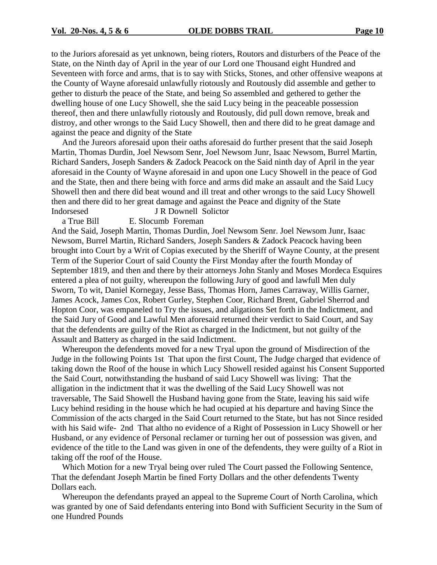to the Juriors aforesaid as yet unknown, being rioters, Routors and disturbers of the Peace of the State, on the Ninth day of April in the year of our Lord one Thousand eight Hundred and Seventeen with force and arms, that is to say with Sticks, Stones, and other offensive weapons at the County of Wayne aforesaid unlawfully riotously and Routously did assemble and gether to gether to disturb the peace of the State, and being So assembled and gethered to gether the dwelling house of one Lucy Showell, she the said Lucy being in the peaceable possession thereof, then and there unlawfully riotously and Routously, did pull down remove, break and distroy, and other wrongs to the Said Lucy Showell, then and there did to he great damage and against the peace and dignity of the State

And the Jureors aforesaid upon their oaths aforesaid do further present that the said Joseph Martin, Thomas Durdin, Joel Newsom Senr, Joel Newsom Junr, Isaac Newsom, Burrel Martin, Richard Sanders, Joseph Sanders & Zadock Peacock on the Said ninth day of April in the year aforesaid in the County of Wayne aforesaid in and upon one Lucy Showell in the peace of God and the State, then and there being with force and arms did make an assault and the Said Lucy Showell then and there did beat wound and ill treat and other wrongs to the said Lucy Showell then and there did to her great damage and against the Peace and dignity of the State Indorsesed J R Downell Solictor

a True Bill E. Slocumb Foreman And the Said, Joseph Martin, Thomas Durdin, Joel Newsom Senr. Joel Newsom Junr, Isaac Newsom, Burrel Martin, Richard Sanders, Joseph Sanders & Zadock Peacock having been brought into Court by a Writ of Copias executed by the Sheriff of Wayne County, at the present Term of the Superior Court of said County the First Monday after the fourth Monday of September 1819, and then and there by their attorneys John Stanly and Moses Mordeca Esquires entered a plea of not guilty, whereupon the following Jury of good and lawfull Men duly Sworn, To wit, Daniel Kornegay, Jesse Bass, Thomas Horn, James Carraway, Willis Garner, James Acock, James Cox, Robert Gurley, Stephen Coor, Richard Brent, Gabriel Sherrod and Hopton Coor, was empaneled to Try the issues, and aligations Set forth in the Indictment, and the Said Jury of Good and Lawful Men aforesaid returned their verdict to Said Court, and Say

that the defendents are guilty of the Riot as charged in the Indictment, but not guilty of the Assault and Battery as charged in the said Indictment. Whereupon the defendents moved for a new Tryal upon the ground of Misdirection of the Judge in the following Points 1st That upon the first Count, The Judge charged that evidence of taking down the Roof of the house in which Lucy Showell resided against his Consent Supported the Said Court, notwithstanding the husband of said Lucy Showell was living: That the alligation in the indictment that it was the dwelling of the Said Lucy Showell was not traversable, The Said Showell the Husband having gone from the State, leaving his said wife Lucy behind residing in the house which he had ocupied at his departure and having Since the Commission of the acts charged in the Said Court returned to the State, but has not Since resided

with his Said wife- 2nd That altho no evidence of a Right of Possession in Lucy Showell or her Husband, or any evidence of Personal reclamer or turning her out of possession was given, and evidence of the title to the Land was given in one of the defendents, they were guilty of a Riot in taking off the roof of the House.

Which Motion for a new Tryal being over ruled The Court passed the Following Sentence, That the defendant Joseph Martin be fined Forty Dollars and the other defendents Twenty Dollars each.

Whereupon the defendants prayed an appeal to the Supreme Court of North Carolina, which was granted by one of Said defendants entering into Bond with Sufficient Security in the Sum of one Hundred Pounds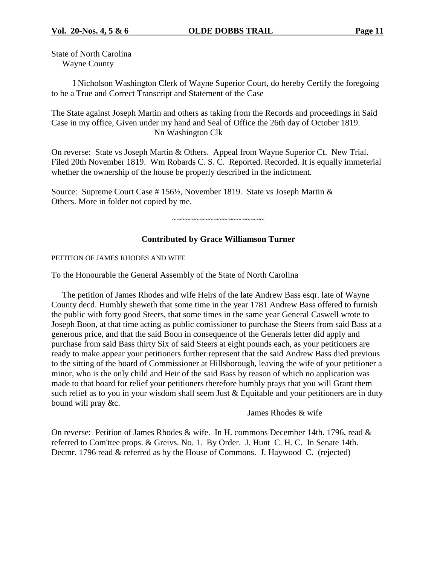State of North Carolina Wayne County

I Nicholson Washington Clerk of Wayne Superior Court, do hereby Certify the foregoing to be a True and Correct Transcript and Statement of the Case

The State against Joseph Martin and others as taking from the Records and proceedings in Said Case in my office, Given under my hand and Seal of Office the 26th day of October 1819. Nn Washington Clk

On reverse: State vs Joseph Martin & Others. Appeal from Wayne Superior Ct. New Trial. Filed 20th November 1819. Wm Robards C. S. C. Reported. Recorded. It is equally immeterial whether the ownership of the house be properly described in the indictment.

Source: Supreme Court Case # 156½, November 1819. State vs Joseph Martin & Others. More in folder not copied by me.

~~~~~~~~~~~~~~~~~~~~

#### **Contributed by Grace Williamson Turner**

PETITION OF JAMES RHODES AND WIFE

To the Honourable the General Assembly of the State of North Carolina

The petition of James Rhodes and wife Heirs of the late Andrew Bass esqr. late of Wayne County decd. Humbly sheweth that some time in the year 1781 Andrew Bass offered to furnish the public with forty good Steers, that some times in the same year General Caswell wrote to Joseph Boon, at that time acting as public comissioner to purchase the Steers from said Bass at a generous price, and that the said Boon in consequence of the Generals letter did apply and purchase from said Bass thirty Six of said Steers at eight pounds each, as your petitioners are ready to make appear your petitioners further represent that the said Andrew Bass died previous to the sitting of the board of Commissioner at Hillsborough, leaving the wife of your petitioner a minor, who is the only child and Heir of the said Bass by reason of which no application was made to that board for relief your petitioners therefore humbly prays that you will Grant them such relief as to you in your wisdom shall seem Just & Equitable and your petitioners are in duty bound will pray &c.

James Rhodes & wife

On reverse: Petition of James Rhodes & wife. In H. commons December 14th. 1796, read & referred to Com'ttee props. & Greivs. No. 1. By Order. J. Hunt C. H. C. In Senate 14th. Decmr. 1796 read & referred as by the House of Commons. J. Haywood C. (rejected)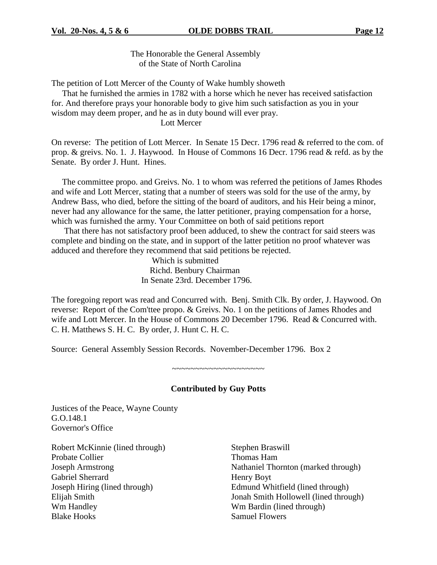The Honorable the General Assembly of the State of North Carolina

The petition of Lott Mercer of the County of Wake humbly showeth

That he furnished the armies in 1782 with a horse which he never has received satisfaction for. And therefore prays your honorable body to give him such satisfaction as you in your wisdom may deem proper, and he as in duty bound will ever pray.

Lott Mercer

On reverse: The petition of Lott Mercer. In Senate 15 Decr. 1796 read & referred to the com. of prop. & greivs. No. 1. J. Haywood. In House of Commons 16 Decr. 1796 read & refd. as by the Senate. By order J. Hunt. Hines.

The committee propo. and Greivs. No. 1 to whom was referred the petitions of James Rhodes and wife and Lott Mercer, stating that a number of steers was sold for the use of the army, by Andrew Bass, who died, before the sitting of the board of auditors, and his Heir being a minor, never had any allowance for the same, the latter petitioner, praying compensation for a horse, which was furnished the army. Your Committee on both of said petitions report

That there has not satisfactory proof been adduced, to shew the contract for said steers was complete and binding on the state, and in support of the latter petition no proof whatever was adduced and therefore they recommend that said petitions be rejected.

> Which is submitted Richd. Benbury Chairman In Senate 23rd. December 1796.

The foregoing report was read and Concurred with. Benj. Smith Clk. By order, J. Haywood. On reverse: Report of the Com'ttee propo. & Greivs. No. 1 on the petitions of James Rhodes and wife and Lott Mercer. In the House of Commons 20 December 1796. Read & Concurred with. C. H. Matthews S. H. C. By order, J. Hunt C. H. C.

Source: General Assembly Session Records. November-December 1796. Box 2

**Contributed by Guy Potts**

~~~~~~~~~~~~~~~~~~~~

Justices of the Peace, Wayne County G.O.148.1 Governor's Office

Robert McKinnie (lined through) Stephen Braswill Probate Collier Thomas Ham Gabriel Sherrard Henry Boyt Wm Handley Wm Bardin (lined through) Blake Hooks Samuel Flowers

Joseph Armstrong Nathaniel Thornton (marked through) Joseph Hiring (lined through) Edmund Whitfield (lined through) Elijah Smith Jonah Smith Hollowell (lined through)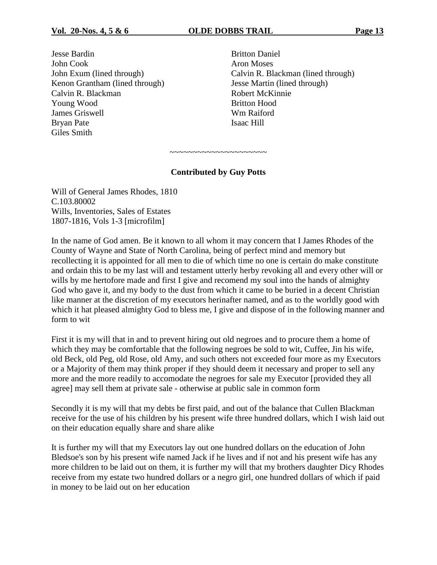**Jesse Bardin** Britton Daniel John Cook **Aron Moses** Kenon Grantham (lined through) Jesse Martin (lined through) Calvin R. Blackman Robert McKinnie Young Wood Britton Hood James Griswell Wm Raiford Bryan Pate Isaac Hill Giles Smith

John Exum (lined through) Calvin R. Blackman (lined through)

~~~~~~~~~~~~~~~~~~~~ **Contributed by Guy Potts**

Will of General James Rhodes, 1810 C.103.80002 Wills, Inventories, Sales of Estates 1807-1816, Vols 1-3 [microfilm]

In the name of God amen. Be it known to all whom it may concern that I James Rhodes of the County of Wayne and State of North Carolina, being of perfect mind and memory but recollecting it is appointed for all men to die of which time no one is certain do make constitute and ordain this to be my last will and testament utterly herby revoking all and every other will or wills by me hertofore made and first I give and recomend my soul into the hands of almighty God who gave it, and my body to the dust from which it came to be buried in a decent Christian like manner at the discretion of my executors herinafter named, and as to the worldly good with which it hat pleased almighty God to bless me, I give and dispose of in the following manner and form to wit

First it is my will that in and to prevent hiring out old negroes and to procure them a home of which they may be comfortable that the following negroes be sold to wit, Cuffee, Jin his wife, old Beck, old Peg, old Rose, old Amy, and such others not exceeded four more as my Executors or a Majority of them may think proper if they should deem it necessary and proper to sell any more and the more readily to accomodate the negroes for sale my Executor [provided they all agree] may sell them at private sale - otherwise at public sale in common form

Secondly it is my will that my debts be first paid, and out of the balance that Cullen Blackman receive for the use of his children by his present wife three hundred dollars, which I wish laid out on their education equally share and share alike

It is further my will that my Executors lay out one hundred dollars on the education of John Bledsoe's son by his present wife named Jack if he lives and if not and his present wife has any more children to be laid out on them, it is further my will that my brothers daughter Dicy Rhodes receive from my estate two hundred dollars or a negro girl, one hundred dollars of which if paid in money to be laid out on her education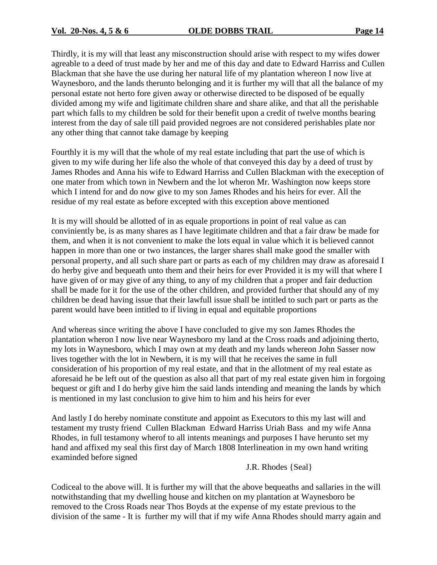Thirdly, it is my will that least any misconstruction should arise with respect to my wifes dower agreable to a deed of trust made by her and me of this day and date to Edward Harriss and Cullen Blackman that she have the use during her natural life of my plantation whereon I now live at Waynesboro, and the lands therunto belonging and it is further my will that all the balance of my personal estate not herto fore given away or otherwise directed to be disposed of be equally divided among my wife and ligitimate children share and share alike, and that all the perishable part which falls to my children be sold for their benefit upon a credit of twelve months bearing interest from the day of sale till paid provided negroes are not considered perishables plate nor any other thing that cannot take damage by keeping

Fourthly it is my will that the whole of my real estate including that part the use of which is given to my wife during her life also the whole of that conveyed this day by a deed of trust by James Rhodes and Anna his wife to Edward Harriss and Cullen Blackman with the exeception of one mater from which town in Newbern and the lot wheron Mr. Washington now keeps store which I intend for and do now give to my son James Rhodes and his heirs for ever. All the residue of my real estate as before excepted with this exception above mentioned

It is my will should be allotted of in as equale proportions in point of real value as can conviniently be, is as many shares as I have legitimate children and that a fair draw be made for them, and when it is not convenient to make the lots equal in value which it is believed cannot happen in more than one or two instances, the larger shares shall make good the smaller with personal property, and all such share part or parts as each of my children may draw as aforesaid I do herby give and bequeath unto them and their heirs for ever Provided it is my will that where I have given of or may give of any thing, to any of my children that a proper and fair deduction shall be made for it for the use of the other children, and provided further that should any of my children be dead having issue that their lawfull issue shall be intitled to such part or parts as the parent would have been intitled to if living in equal and equitable proportions

And whereas since writing the above I have concluded to give my son James Rhodes the plantation wheron I now live near Waynesboro my land at the Cross roads and adjoining therto, my lots in Waynesboro, which I may own at my death and my lands whereon John Sasser now lives together with the lot in Newbern, it is my will that he receives the same in full consideration of his proportion of my real estate, and that in the allotment of my real estate as aforesaid he be left out of the question as also all that part of my real estate given him in forgoing bequest or gift and I do herby give him the said lands intending and meaning the lands by which is mentioned in my last conclusion to give him to him and his heirs for ever

And lastly I do hereby nominate constitute and appoint as Executors to this my last will and testament my trusty friend Cullen Blackman Edward Harriss Uriah Bass and my wife Anna Rhodes, in full testamony wherof to all intents meanings and purposes I have herunto set my hand and affixed my seal this first day of March 1808 Interlineation in my own hand writing examinded before signed

J.R. Rhodes {Seal}

Codiceal to the above will. It is further my will that the above bequeaths and sallaries in the will notwithstanding that my dwelling house and kitchen on my plantation at Waynesboro be removed to the Cross Roads near Thos Boyds at the expense of my estate previous to the division of the same - It is further my will that if my wife Anna Rhodes should marry again and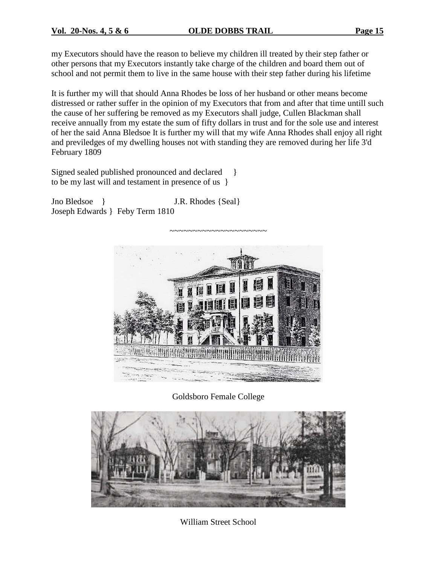my Executors should have the reason to believe my children ill treated by their step father or other persons that my Executors instantly take charge of the children and board them out of school and not permit them to live in the same house with their step father during his lifetime

It is further my will that should Anna Rhodes be loss of her husband or other means become distressed or rather suffer in the opinion of my Executors that from and after that time untill such the cause of her suffering be removed as my Executors shall judge, Cullen Blackman shall receive annually from my estate the sum of fifty dollars in trust and for the sole use and interest of her the said Anna Bledsoe It is further my will that my wife Anna Rhodes shall enjoy all right and previledges of my dwelling houses not with standing they are removed during her life 3'd February 1809

Signed sealed published pronounced and declared  $\}$ to be my last will and testament in presence of us }

Jno Bledsoe } J.R. Rhodes {Seal} Joseph Edwards } Feby Term 1810



Goldsboro Female College



William Street School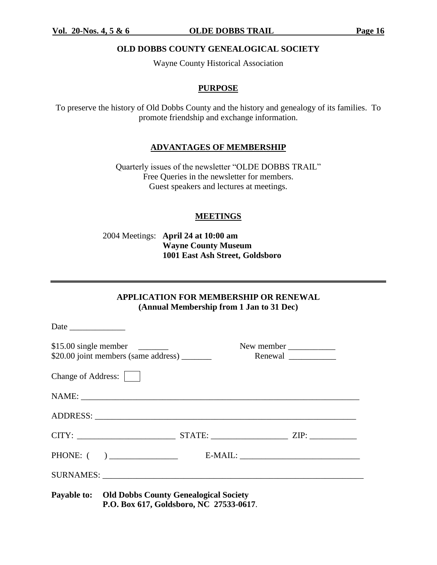#### **Vol. 20-Nos. 4, 5 & 6 OLDE DOBBS TRAIL Page 16**

#### **OLD DOBBS COUNTY GENEALOGICAL SOCIETY**

Wayne County Historical Association

#### **PURPOSE**

To preserve the history of Old Dobbs County and the history and genealogy of its families. To promote friendship and exchange information.

#### **ADVANTAGES OF MEMBERSHIP**

Quarterly issues of the newsletter "OLDE DOBBS TRAIL" Free Queries in the newsletter for members. Guest speakers and lectures at meetings.

#### **MEETINGS**

2004 Meetings: **April 24 at 10:00 am Wayne County Museum 1001 East Ash Street, Goldsboro**

#### **APPLICATION FOR MEMBERSHIP OR RENEWAL (Annual Membership from 1 Jan to 31 Dec)**

|                    |                                                                                                      |  | New member |  |
|--------------------|------------------------------------------------------------------------------------------------------|--|------------|--|
| Change of Address: |                                                                                                      |  |            |  |
|                    |                                                                                                      |  |            |  |
|                    |                                                                                                      |  |            |  |
|                    | CITY: ___________________________________STATE: ______________________________ZIP: _________________ |  |            |  |
|                    |                                                                                                      |  |            |  |
|                    |                                                                                                      |  |            |  |
|                    | Payable to: Old Dobbs County Genealogical Society<br>P.O. Box 617, Goldsboro, NC 27533-0617.         |  |            |  |